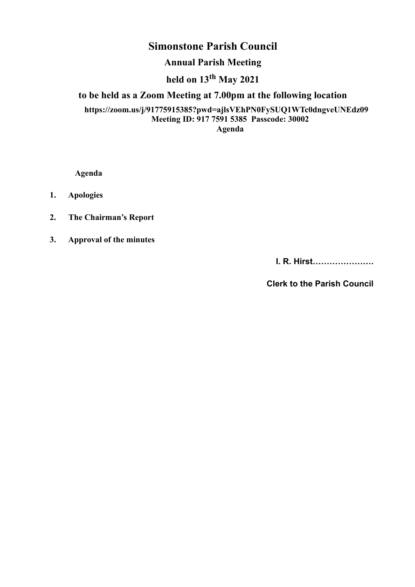# **Simonstone Parish Council**

## **Annual Parish Meeting**

# **held on 13th May 2021**

## **to be held as a Zoom Meeting at 7.00pm at the following location**

#### **https://zoom.us/j/91775915385?pwd=ajlsVEhPN0FySUQ1WTc0dngveUNEdz09 Meeting ID: 917 7591 5385 Passcode: 30002 Agenda**

**Agenda**

**1. Apologies**

**2. The Chairman's Report** 

**3. Approval of the minutes** 

**I. R. Hirst………………….** 

**Clerk to the Parish Council**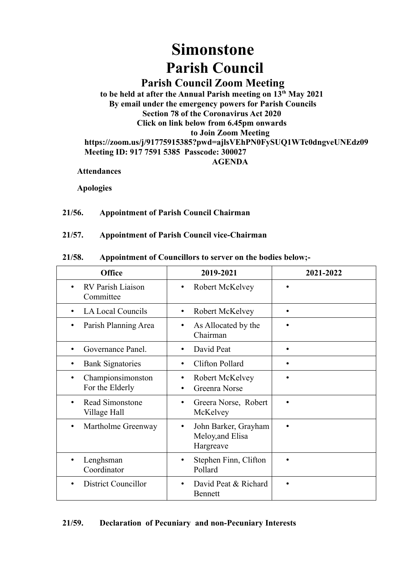# **Simonstone Parish Council**

# **Parish Council Zoom Meeting**

**to be held at after the Annual Parish meeting on 13th May 2021 By email under the emergency powers for Parish Councils Section 78 of the Coronavirus Act 2020 Click on link below from 6.45pm onwards to Join Zoom Meeting https://zoom.us/j/91775915385?pwd=ajlsVEhPN0FySUQ1WTc0dngveUNEdz09 Meeting ID: 917 7591 5385 Passcode: 300027**

**AGENDA**

**Attendances** 

**Apologies**

#### **21/56. Appointment of Parish Council Chairman**

#### **21/57. Appointment of Parish Council vice-Chairman**

#### **21/58. Appointment of Councillors to server on the bodies below;-**

| <b>Office</b>                               | 2019-2021                                                          | 2021-2022 |
|---------------------------------------------|--------------------------------------------------------------------|-----------|
| RV Parish Liaison<br>$\bullet$<br>Committee | Robert McKelvey<br>٠                                               |           |
| LA Local Councils<br>$\bullet$              | Robert McKelvey<br>$\bullet$                                       | $\bullet$ |
| Parish Planning Area                        | As Allocated by the<br>٠<br>Chairman                               |           |
| Governance Panel.<br>$\bullet$              | David Peat<br>$\bullet$                                            | $\bullet$ |
| <b>Bank Signatories</b>                     | Clifton Pollard<br>$\bullet$                                       |           |
| Championsimonston<br>For the Elderly        | Robert McKelvey<br>٠<br>Greenra Norse<br>$\bullet$                 |           |
| Read Simonstone<br>Village Hall             | Greera Norse, Robert<br>٠<br>McKelvey                              |           |
| Martholme Greenway                          | John Barker, Grayham<br>$\bullet$<br>Meloy, and Elisa<br>Hargreave |           |
| Lenghsman<br>Coordinator                    | Stephen Finn, Clifton<br>Pollard                                   |           |
| <b>District Councillor</b>                  | David Peat & Richard<br>$\bullet$<br><b>Bennett</b>                |           |

#### **21/59. Declaration of Pecuniary and non-Pecuniary Interests**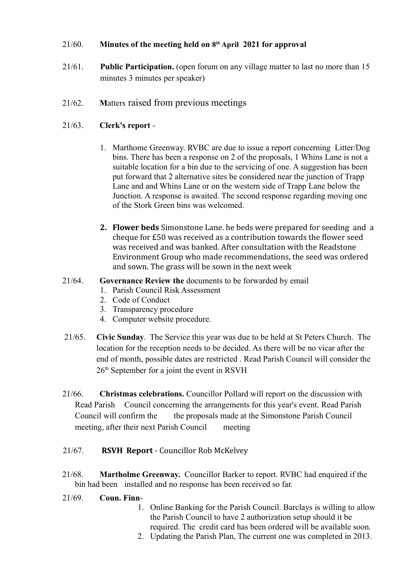#### 21/60. **Minutes of the meeting held on 8 th April 2021 for approval**

- 21/61. **Public Participation.** (open forum on any village matter to last no more than 15 minutes 3 minutes per speaker)
- 21/62. **M**atters raised from previous meetings

#### 21/63. **Clerk's report** -

- 1. Marthome Greenway. RVBC are due to issue a report concerning Litter/Dog bins. There has been a response on 2 of the proposals, 1 Whins Lane is not a suitable location for a bin due to the servicing of one. A suggestion has been put forward that 2 alternative sites be considered near the junction of Trapp Lane and and Whins Lane or on the western side of Trapp Lane below the Junction. A response is awaited. The second response regarding moving one of the Stork Green bins was welcomed.
- **2. Flower beds** Simonstone Lane. he beds were prepared for seeding and a cheque for £50 was received as a contribution towards the flower seed was received and was banked. After consultation with the Readstone Environment Group who made recommendations, the seed was ordered and sown. The grass will be sown in the next week

#### 21/64. **Governance Review the** documents to be forwarded by email

- 1. Parish Council Risk Assessment
- 2. Code of Conduct
- 3. Transparency procedure
- 4. Computer website procedure.
- 21/65. **Civic Sunday**. The Service this year was due to be held at St Peters Church. The location for the reception needs to be decided. As there will be no vicar after the end of month, possible dates are restricted . Read Parish Council will consider the  $26<sup>th</sup>$  September for a joint the event in RSVH
- 21/66. **Christmas celebrations.** Councillor Pollard will report on the discussion with Read Parish Council concerning the arrangements for this year's event. Read Parish Council will confirm the the proposals made at the Simonstone Parish Council meeting, after their next Parish Council meeting
- 21/67. **RSVH Report** Councillor Rob McKelvey
- 21/68. **Martholme Greenway.** Councillor Barker to report. RVBC had enquired if the bin had been installed and no response has been received so far.
- 21/69. **Coun. Finn**-
	- 1. Online Banking for the Parish Council. Barclays is willing to allow the Parish Council to have 2 authorization setup should it be required. The credit card has been ordered will be available soon.
	- 2. Updating the Parish Plan, The current one was completed in 2013.